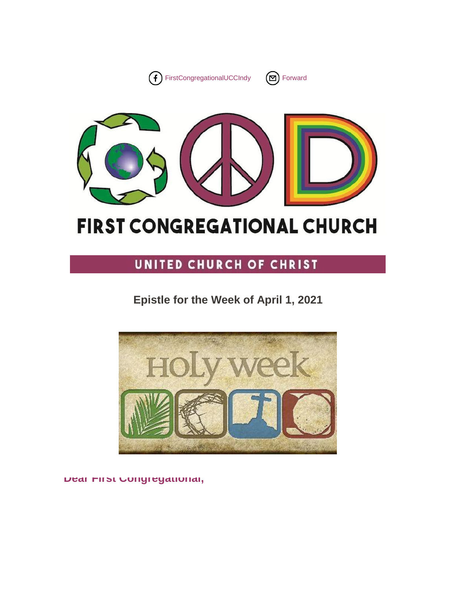





# **FIRST CONGREGATIONAL CHURCH**

# UNITED CHURCH OF CHRIST

# **Epistle for the Week of April 1, 2021**



**Dear First Congregational,**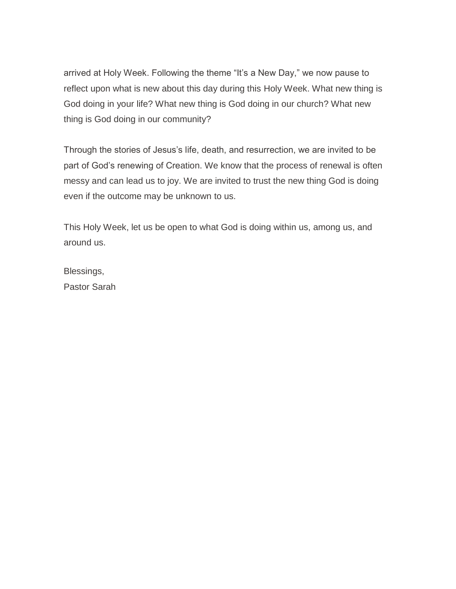arrived at Holy Week. Following the theme "It's a New Day," we now pause to reflect upon what is new about this day during this Holy Week. What new thing is God doing in your life? What new thing is God doing in our church? What new thing is God doing in our community?

Through the stories of Jesus's life, death, and resurrection, we are invited to be part of God's renewing of Creation. We know that the process of renewal is often messy and can lead us to joy. We are invited to trust the new thing God is doing even if the outcome may be unknown to us.

This Holy Week, let us be open to what God is doing within us, among us, and around us.

Blessings, Pastor Sarah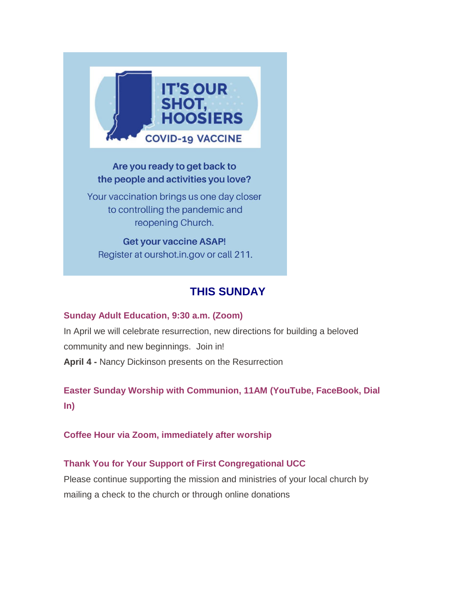

### Are you ready to get back to the people and activities you love?

Your vaccination brings us one day closer to controlling the pandemic and reopening Church.

**Get your vaccine ASAP!** Register at ourshot.in.gov or call 211.

# **THIS SUNDAY**

### **Sunday Adult Education, 9:30 a.m. (Zoom)**

In April we will celebrate resurrection, new directions for building a beloved community and new beginnings. Join in! **April 4 -** Nancy Dickinson presents on the Resurrection

**Easter Sunday Worship with Communion, 11AM (YouTube, FaceBook, Dial In)**

### **Coffee Hour via Zoom, immediately after worship**

### **Thank You for Your Support of First Congregational UCC**

Please continue supporting the mission and ministries of your local church by mailing a check to the church or through online donations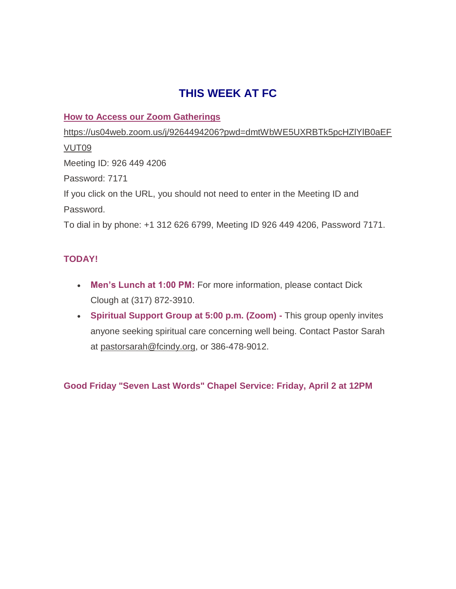## **THIS WEEK AT FC**

### **How to Access our Zoom Gatherings**

[https://us04web.zoom.us/j/9264494206?pwd=dmtWbWE5UXRBTk5pcHZlYlB0aEF](https://fcindy.us16.list-manage.com/track/click?u=7a2e4c501545b6d78729a64a1&id=1a7d609adc&e=605c2c8600) [VUT09](https://fcindy.us16.list-manage.com/track/click?u=7a2e4c501545b6d78729a64a1&id=1a7d609adc&e=605c2c8600) Meeting ID: 926 449 4206 Password: 7171 If you click on the URL, you should not need to enter in the Meeting ID and Password. To dial in by phone: +1 312 626 6799, Meeting ID 926 449 4206, Password 7171.

### **TODAY!**

- **Men's Lunch at 1:00 PM:** For more information, please contact Dick Clough at (317) 872-3910.
- **Spiritual Support Group at 5:00 p.m. (Zoom) -** This group openly invites anyone seeking spiritual care concerning well being. Contact Pastor Sarah at [pastorsarah@fcindy.org,](mailto:pastorsarah@fcindy.org) or 386-478-9012.

**Good Friday "Seven Last Words" Chapel Service: Friday, April 2 at 12PM**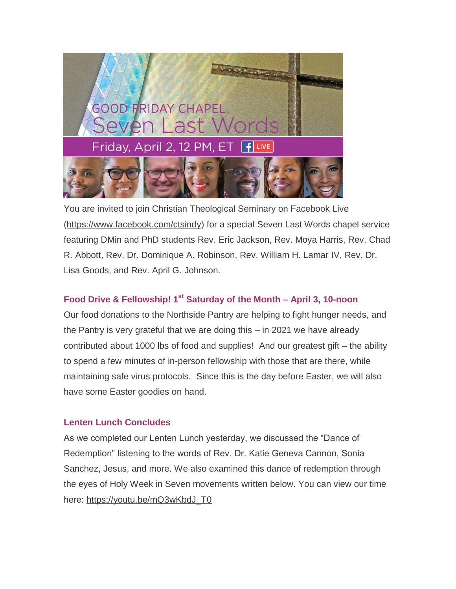

You are invited to join Christian Theological Seminary on Facebook Live [\(https://www.facebook.com/ctsindy\)](https://fcindy.us16.list-manage.com/track/click?u=7a2e4c501545b6d78729a64a1&id=471f922bbc&e=605c2c8600) for a special Seven Last Words chapel service featuring DMin and PhD students Rev. Eric Jackson, Rev. Moya Harris, Rev. Chad R. Abbott, Rev. Dr. Dominique A. Robinson, Rev. William H. Lamar IV, Rev. Dr. Lisa Goods, and Rev. April G. Johnson.

### **Food Drive & Fellowship! 1st Saturday of the Month – April 3, 10-noon**

Our food donations to the Northside Pantry are helping to fight hunger needs, and the Pantry is very grateful that we are doing this – in 2021 we have already contributed about 1000 lbs of food and supplies! And our greatest gift – the ability to spend a few minutes of in-person fellowship with those that are there, while maintaining safe virus protocols. Since this is the day before Easter, we will also have some Easter goodies on hand.

### **Lenten Lunch Concludes**

As we completed our Lenten Lunch yesterday, we discussed the "Dance of Redemption" listening to the words of Rev. Dr. Katie Geneva Cannon, Sonia Sanchez, Jesus, and more. We also examined this dance of redemption through the eyes of Holy Week in Seven movements written below. You can view our time here: [https://youtu.be/mQ3wKbdJ\\_T0](https://fcindy.us16.list-manage.com/track/click?u=7a2e4c501545b6d78729a64a1&id=1836f43f63&e=605c2c8600)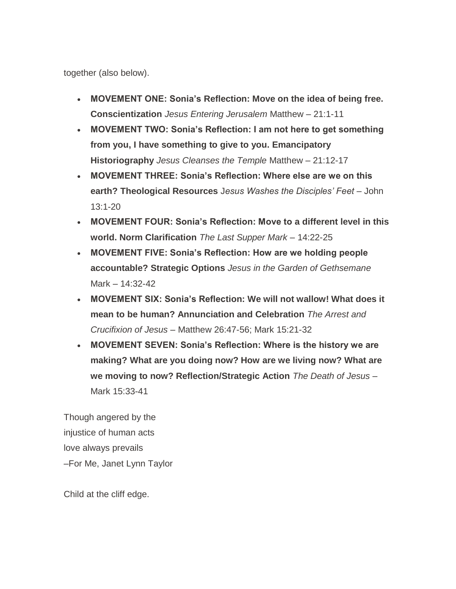together (also below).

- **MOVEMENT ONE: Sonia's Reflection: Move on the idea of being free. Conscientization** *Jesus Entering Jerusalem* Matthew – 21:1-11
- **MOVEMENT TWO: Sonia's Reflection: I am not here to get something from you, I have something to give to you. Emancipatory Historiography** *Jesus Cleanses the Temple* Matthew – 21:12-17
- **MOVEMENT THREE: Sonia's Reflection: Where else are we on this earth? Theological Resources** J*esus Washes the Disciples' Feet* – John 13:1-20
- **MOVEMENT FOUR: Sonia's Reflection: Move to a different level in this world. Norm Clarification** *The Last Supper Mark* – 14:22-25
- **MOVEMENT FIVE: Sonia's Reflection: How are we holding people accountable? Strategic Options** *Jesus in the Garden of Gethsemane*  Mark – 14:32-42
- **MOVEMENT SIX: Sonia's Reflection: We will not wallow! What does it mean to be human? Annunciation and Celebration** *The Arrest and Crucifixion of Jesus* – Matthew 26:47-56; Mark 15:21-32
- **MOVEMENT SEVEN: Sonia's Reflection: Where is the history we are making? What are you doing now? How are we living now? What are we moving to now? Reflection/Strategic Action** *The Death of Jesus* – Mark 15:33-41

Though angered by the injustice of human acts love always prevails –For Me, Janet Lynn Taylor

Child at the cliff edge.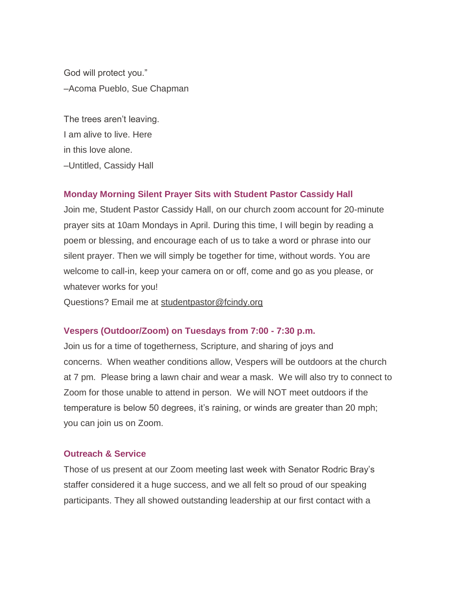God will protect you." –Acoma Pueblo, Sue Chapman

The trees aren't leaving. I am alive to live. Here in this love alone. –Untitled, Cassidy Hall

#### **Monday Morning Silent Prayer Sits with Student Pastor Cassidy Hall**

Join me, Student Pastor Cassidy Hall, on our church zoom account for 20-minute prayer sits at 10am Mondays in April. During this time, I will begin by reading a poem or blessing, and encourage each of us to take a word or phrase into our silent prayer. Then we will simply be together for time, without words. You are welcome to call-in, keep your camera on or off, come and go as you please, or whatever works for you!

Questions? Email me at [studentpastor@fcindy.org](mailto:studentpastor@fcindy.org)

#### **Vespers (Outdoor/Zoom) on Tuesdays from 7:00 - 7:30 p.m.**

Join us for a time of togetherness, Scripture, and sharing of joys and concerns. When weather conditions allow, Vespers will be outdoors at the church at 7 pm. Please bring a lawn chair and wear a mask. We will also try to connect to Zoom for those unable to attend in person. We will NOT meet outdoors if the temperature is below 50 degrees, it's raining, or winds are greater than 20 mph; you can join us on Zoom.

#### **Outreach & Service**

Those of us present at our Zoom meeting last week with Senator Rodric Bray's staffer considered it a huge success, and we all felt so proud of our speaking participants. They all showed outstanding leadership at our first contact with a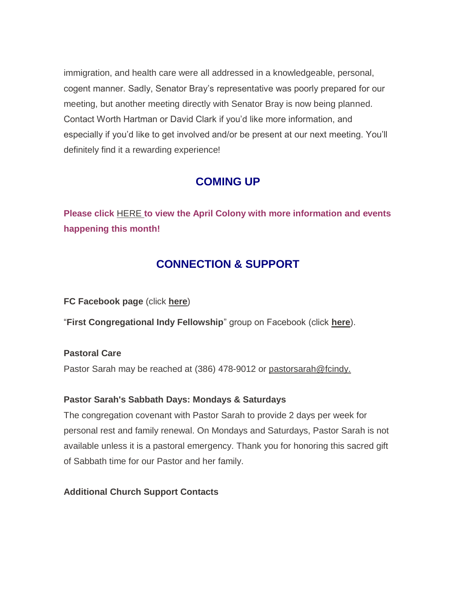immigration, and health care were all addressed in a knowledgeable, personal, cogent manner. Sadly, Senator Bray's representative was poorly prepared for our meeting, but another meeting directly with Senator Bray is now being planned. Contact Worth Hartman or David Clark if you'd like more information, and especially if you'd like to get involved and/or be present at our next meeting. You'll definitely find it a rewarding experience!

### **COMING UP**

**Please click** [HERE](https://fcindy.us16.list-manage.com/track/click?u=7a2e4c501545b6d78729a64a1&id=d06d76e523&e=605c2c8600) **[t](https://fcindy.us16.list-manage.com/track/click?u=7a2e4c501545b6d78729a64a1&id=d06d76e523&e=605c2c8600)o view the April Colony with more information and events happening this month!**

### **CONNECTION & SUPPORT**

**FC Facebook page** (click **[here](https://fcindy.us16.list-manage.com/track/click?u=7a2e4c501545b6d78729a64a1&id=f206c671ff&e=605c2c8600)**)

"**First Congregational Indy Fellowship**" group on Facebook (click **[here](https://fcindy.us16.list-manage.com/track/click?u=7a2e4c501545b6d78729a64a1&id=6ec5f023e9&e=605c2c8600)**).

**Pastoral Care**

Pastor Sarah may be reached at (386) 478-9012 or [pastorsarah@fcindy.](mailto:pastorsarah@fcindy.org)

#### **Pastor Sarah's Sabbath Days: Mondays & Saturdays**

The congregation covenant with Pastor Sarah to provide 2 days per week for personal rest and family renewal. On Mondays and Saturdays, Pastor Sarah is not available unless it is a pastoral emergency. Thank you for honoring this sacred gift of Sabbath time for our Pastor and her family.

### **Additional Church Support Contacts**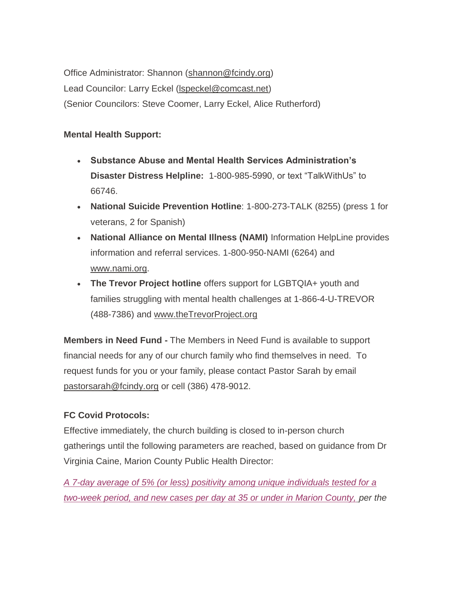Office Administrator: Shannon [\(shannon@fcindy.org\)](mailto:shannon@fcindy.org) Lead Councilor: Larry Eckel (Ispeckel@comcast.net) (Senior Councilors: Steve Coomer, Larry Eckel, Alice Rutherford)

### **Mental Health Support:**

- **Substance Abuse and Mental Health Services Administration's Disaster Distress Helpline:** 1-800-985-5990, or text "TalkWithUs" to 66746.
- **National Suicide Prevention Hotline**: 1-800-273-TALK (8255) (press 1 for veterans, 2 for Spanish)
- **National Alliance on Mental Illness (NAMI)** Information HelpLine provides information and referral services. 1-800-950-NAMI (6264) and [www.nami.org.](https://fcindy.us16.list-manage.com/track/click?u=7a2e4c501545b6d78729a64a1&id=1c36ea5424&e=605c2c8600)
- **The Trevor Project hotline** offers support for LGBTQIA+ youth and families struggling with mental health challenges at 1-866-4-U-TREVOR (488-7386) and [www.theTrevorProject.org](https://fcindy.us16.list-manage.com/track/click?u=7a2e4c501545b6d78729a64a1&id=0b90aa97c5&e=605c2c8600)

**Members in Need Fund -** The Members in Need Fund is available to support financial needs for any of our church family who find themselves in need. To request funds for you or your family, please contact Pastor Sarah by email [pastorsarah@fcindy.org](mailto:pastorsarah@fcindy.org) or cell (386) 478-9012.

### **FC Covid Protocols:**

Effective immediately, the church building is closed to in-person church gatherings until the following parameters are reached, based on guidance from Dr Virginia Caine, Marion County Public Health Director:

*A 7-day average of 5% (or less) positivity among unique individuals tested for a two-week period, and new cases per day at 35 or under in Marion County, per the*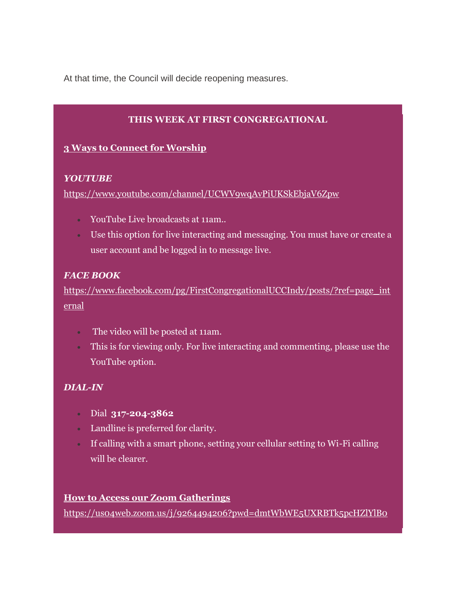At that time, the Council will decide reopening measures.

### **THIS WEEK AT FIRST CONGREGATIONAL**

### **3 Ways to Connect for Worship**

#### *YOUTUBE*

[https://www.youtube.com/channel/UCWV9wqAvPiUKSkEbjaV6Zpw](https://fcindy.us16.list-manage.com/track/click?u=7a2e4c501545b6d78729a64a1&id=a52a2e055b&e=605c2c8600)

- YouTube Live broadcasts at 11am..
- Use this option for live interacting and messaging. You must have or create a user account and be logged in to message live.

### *FACE BOOK*

[https://www.facebook.com/pg/FirstCongregationalUCCIndy/posts/?ref=page\\_int](https://fcindy.us16.list-manage.com/track/click?u=7a2e4c501545b6d78729a64a1&id=3d26c66506&e=605c2c8600) [ernal](https://fcindy.us16.list-manage.com/track/click?u=7a2e4c501545b6d78729a64a1&id=3d26c66506&e=605c2c8600)

- The video will be posted at 11am.
- This is for viewing only. For live interacting and commenting, please use the YouTube option.

### *DIAL-IN*

- Dial **317-204-3862**
- Landline is preferred for clarity.
- If calling with a smart phone, setting your cellular setting to Wi-Fi calling will be clearer.

### **How to Access our Zoom Gatherings**

[https://us04web.zoom.us/j/9264494206?pwd=dmtWbWE5UXRBTk5pcHZlYlB0](https://fcindy.us16.list-manage.com/track/click?u=7a2e4c501545b6d78729a64a1&id=59ae764487&e=605c2c8600)